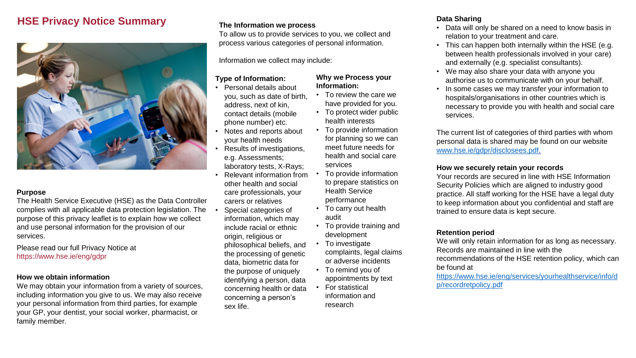# **HSE Privacy Notice Summary**



#### **Purpose**

The Health Service Executive (HSE) as the Data Controller complies with all applicable data protection legislation. The purpose of this privacy leaflet is to explain how we collect and use personal information for the provision of our services.

Please read our full Privacy Notice at https://www.hse.ie/eng/gdpr

#### **How we obtain information**

We may obtain your information from a variety of sources, including information you give to us. We may also receive your personal information from third parties, for example your GP, your dentist, your social worker, pharmacist, or family member.

## **The Information we process**

To allow us to provide services to you, we collect and process various categories of personal information.

Information we collect may include:

#### **Type of Information:**

- Personal details about you, such as date of birth, address, next of kin, contact details (mobile phone number) etc.
- Notes and reports about your health needs
- Results of investigations, e.g. Assessments; laboratory tests, X-Rays;
- Relevant information from other health and social care professionals, your carers or relatives
- Special categories of information, which may include racial or ethnic origin, religious or philosophical beliefs, and the processing of genetic data, biometric data for the purpose of uniquely identifying a person, data concerning health or data concerning a person's sex life.

## **Why we Process your Information:**

- To review the care we have provided for you.
- To protect wider public health interests
- To provide information for planning so we can meet future needs for health and social care services
- To provide information to prepare statistics on Health Service performance
- To carry out health audit
- To provide training and development
- To investigate complaints, legal claims or adverse incidents
- To remind you of appointments by text
- For statistical information and research

## **Data Sharing**

- Data will only be shared on a need to know basis in relation to your treatment and care.
- This can happen both internally within the HSE (e.g. between health professionals involved in your care) and externally (e.g. specialist consultants).
- We may also share your data with anyone you authorise us to communicate with on your behalf.
- In some cases we may transfer your information to hospitals/organisations in other countries which is necessary to provide you with health and social care services.

The current list of categories of third parties with whom personal data is shared may be found on our website [www.hse.ie/gdpr/disclosees.pdf](http://www.hse.ie/gdpr/disclosees.pdf).

### **How we securely retain your records**

Your records are secured in line with HSE Information Security Policies which are aligned to industry good practice. All staff working for the HSE have a legal duty to keep information about you confidential and staff are trained to ensure data is kept secure.

## **Retention period**

We will only retain information for as long as necessary. Records are maintained in line with the recommendations of the HSE retention policy, which can be found at

[https://www.hse.ie/eng/services/yourhealthservice/info/d](https://www.hse.ie/eng/services/yourhealthservice/info/dp/recordretpolicy.pdf) [p/recordretpolicy.pdf](https://www.hse.ie/eng/services/yourhealthservice/info/dp/recordretpolicy.pdf)